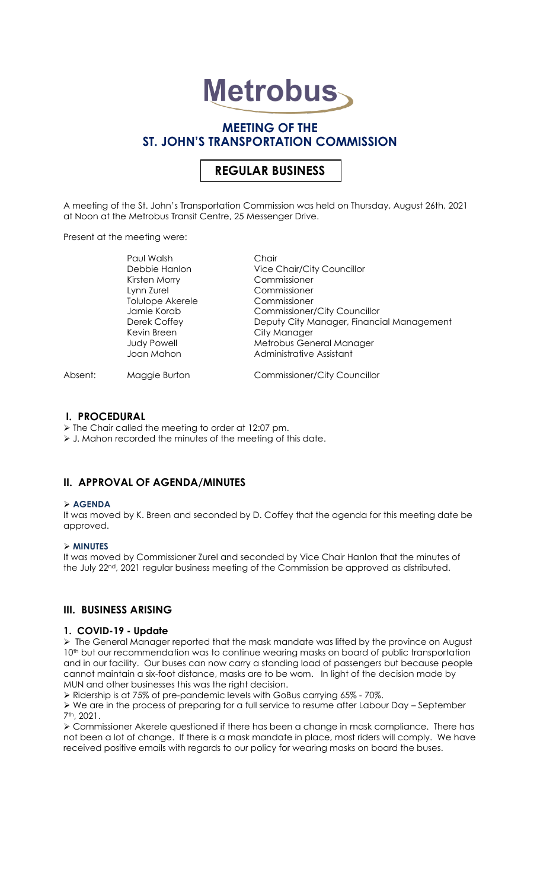# **Metrobus**

# **MEETING OF THE ST. JOHN'S TRANSPORTATION COMMISSION**

# **REGULAR BUSINESS**

A meeting of the St. John's Transportation Commission was held on Thursday, August 26th, 2021 at Noon at the Metrobus Transit Centre, 25 Messenger Drive.

Present at the meeting were:

|         | Paul Walsh         | Chair                                     |
|---------|--------------------|-------------------------------------------|
|         | Debbie Hanlon      | <b>Vice Chair/City Councillor</b>         |
|         | Kirsten Morry      | Commissioner                              |
|         | Lynn Zurel         | Commissioner                              |
|         | Tolulope Akerele   | Commissioner                              |
|         | Jamie Korab        | <b>Commissioner/City Councillor</b>       |
|         | Derek Coffey       | Deputy City Manager, Financial Management |
|         | Kevin Breen        | City Manager                              |
|         | <b>Judy Powell</b> | Metrobus General Manager                  |
|         | Joan Mahon         | Administrative Assistant                  |
| Absent: | Maggie Burton      | <b>Commissioner/City Councillor</b>       |

## **I. PROCEDURAL**

➢ The Chair called the meeting to order at 12:07 pm.

➢ J. Mahon recorded the minutes of the meeting of this date.

## **II. APPROVAL OF AGENDA/MINUTES**

#### ➢ **AGENDA**

It was moved by K. Breen and seconded by D. Coffey that the agenda for this meeting date be approved.

#### ➢ **MINUTES**

It was moved by Commissioner Zurel and seconded by Vice Chair Hanlon that the minutes of the July 22<sup>nd</sup>, 2021 regular business meeting of the Commission be approved as distributed.

# **III. BUSINESS ARISING**

#### **1. COVID-19 - Update**

➢ The General Manager reported that the mask mandate was lifted by the province on August 10<sup>th</sup> but our recommendation was to continue wearing masks on board of public transportation and in our facility. Our buses can now carry a standing load of passengers but because people cannot maintain a six-foot distance, masks are to be worn. In light of the decision made by MUN and other businesses this was the right decision.

➢ Ridership is at 75% of pre-pandemic levels with GoBus carrying 65% - 70%.

➢ We are in the process of preparing for a full service to resume after Labour Day – September 7th, 2021.

➢ Commissioner Akerele questioned if there has been a change in mask compliance. There has not been a lot of change. If there is a mask mandate in place, most riders will comply. We have received positive emails with regards to our policy for wearing masks on board the buses.